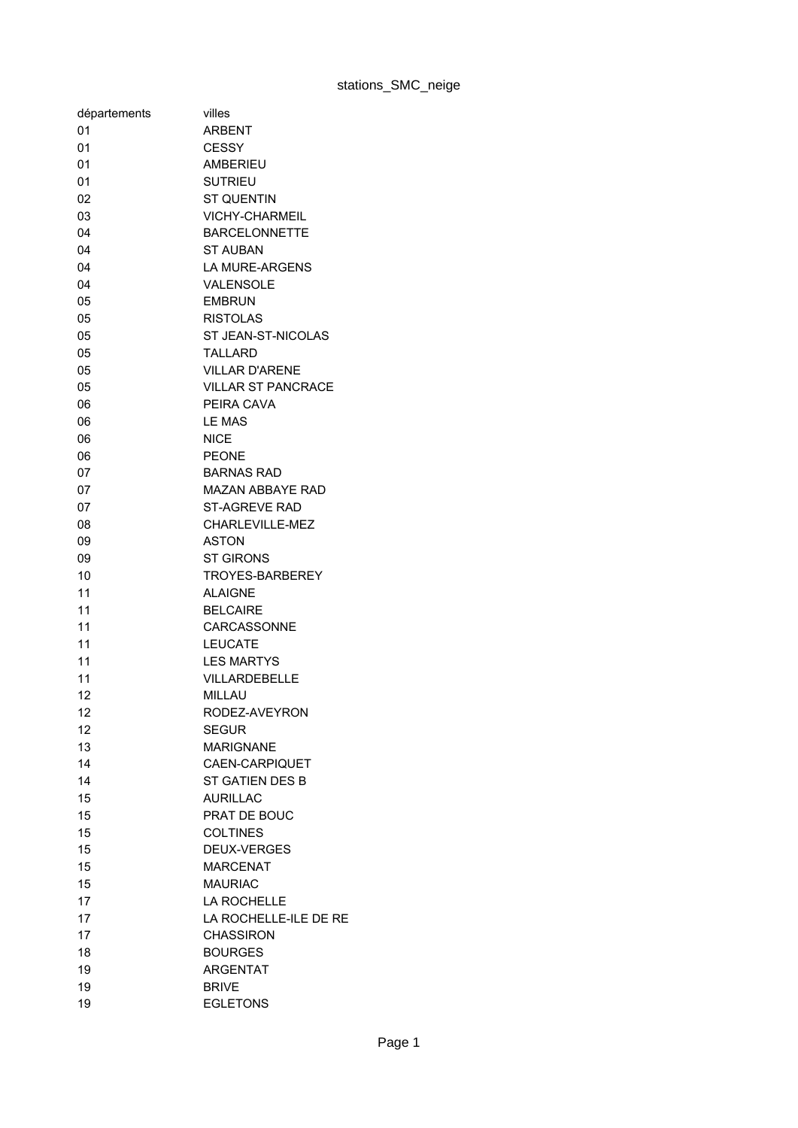| 01<br><b>ARBENT</b><br>01<br><b>CESSY</b><br><b>AMBERIEU</b><br>01<br>01<br><b>SUTRIEU</b><br>02<br><b>ST QUENTIN</b><br>03<br><b>VICHY-CHARMEIL</b><br>04<br><b>BARCELONNETTE</b><br>04<br><b>ST AUBAN</b><br><b>LA MURE-ARGENS</b><br>04<br>VALENSOLE<br>04<br><b>EMBRUN</b><br>05<br>05<br><b>RISTOLAS</b><br>05<br>ST JEAN-ST-NICOLAS<br>05<br><b>TALLARD</b><br>05<br><b>VILLAR D'ARENE</b><br><b>VILLAR ST PANCRACE</b><br>05<br>PEIRA CAVA<br>06<br><b>LE MAS</b><br>06<br><b>NICE</b><br>06<br><b>PEONE</b><br>06<br><b>BARNAS RAD</b><br>07<br>07<br><b>MAZAN ABBAYE RAD</b><br>07<br><b>ST-AGREVE RAD</b><br>08<br>CHARLEVILLE-MEZ<br><b>ASTON</b><br>09<br><b>ST GIRONS</b><br>09<br>10<br><b>TROYES-BARBEREY</b><br>11<br><b>ALAIGNE</b><br>11<br><b>BELCAIRE</b><br>11<br>CARCASSONNE<br>11<br><b>LEUCATE</b><br>11<br><b>LES MARTYS</b><br>11<br><b>VILLARDEBELLE</b><br>12<br><b>MILLAU</b><br>12<br>RODEZ-AVEYRON<br>12<br><b>SEGUR</b><br>13<br><b>MARIGNANE</b><br>14<br>CAEN-CARPIQUET<br>14<br>ST GATIEN DES B<br>15<br><b>AURILLAC</b><br>15<br><b>PRAT DE BOUC</b><br>15<br><b>COLTINES</b><br>15<br><b>DEUX-VERGES</b><br>15<br><b>MARCENAT</b><br>15<br><b>MAURIAC</b><br>17<br><b>LA ROCHELLE</b><br>LA ROCHELLE-ILE DE RE<br>17<br>17<br><b>CHASSIRON</b><br>18<br><b>BOURGES</b><br>19<br><b>ARGENTAT</b> | départements | villes       |
|--------------------------------------------------------------------------------------------------------------------------------------------------------------------------------------------------------------------------------------------------------------------------------------------------------------------------------------------------------------------------------------------------------------------------------------------------------------------------------------------------------------------------------------------------------------------------------------------------------------------------------------------------------------------------------------------------------------------------------------------------------------------------------------------------------------------------------------------------------------------------------------------------------------------------------------------------------------------------------------------------------------------------------------------------------------------------------------------------------------------------------------------------------------------------------------------------------------------------------------------------------------------------------------------------------------------------------------|--------------|--------------|
|                                                                                                                                                                                                                                                                                                                                                                                                                                                                                                                                                                                                                                                                                                                                                                                                                                                                                                                                                                                                                                                                                                                                                                                                                                                                                                                                      |              |              |
|                                                                                                                                                                                                                                                                                                                                                                                                                                                                                                                                                                                                                                                                                                                                                                                                                                                                                                                                                                                                                                                                                                                                                                                                                                                                                                                                      |              |              |
|                                                                                                                                                                                                                                                                                                                                                                                                                                                                                                                                                                                                                                                                                                                                                                                                                                                                                                                                                                                                                                                                                                                                                                                                                                                                                                                                      |              |              |
|                                                                                                                                                                                                                                                                                                                                                                                                                                                                                                                                                                                                                                                                                                                                                                                                                                                                                                                                                                                                                                                                                                                                                                                                                                                                                                                                      |              |              |
|                                                                                                                                                                                                                                                                                                                                                                                                                                                                                                                                                                                                                                                                                                                                                                                                                                                                                                                                                                                                                                                                                                                                                                                                                                                                                                                                      |              |              |
|                                                                                                                                                                                                                                                                                                                                                                                                                                                                                                                                                                                                                                                                                                                                                                                                                                                                                                                                                                                                                                                                                                                                                                                                                                                                                                                                      |              |              |
|                                                                                                                                                                                                                                                                                                                                                                                                                                                                                                                                                                                                                                                                                                                                                                                                                                                                                                                                                                                                                                                                                                                                                                                                                                                                                                                                      |              |              |
|                                                                                                                                                                                                                                                                                                                                                                                                                                                                                                                                                                                                                                                                                                                                                                                                                                                                                                                                                                                                                                                                                                                                                                                                                                                                                                                                      |              |              |
|                                                                                                                                                                                                                                                                                                                                                                                                                                                                                                                                                                                                                                                                                                                                                                                                                                                                                                                                                                                                                                                                                                                                                                                                                                                                                                                                      |              |              |
|                                                                                                                                                                                                                                                                                                                                                                                                                                                                                                                                                                                                                                                                                                                                                                                                                                                                                                                                                                                                                                                                                                                                                                                                                                                                                                                                      |              |              |
|                                                                                                                                                                                                                                                                                                                                                                                                                                                                                                                                                                                                                                                                                                                                                                                                                                                                                                                                                                                                                                                                                                                                                                                                                                                                                                                                      |              |              |
|                                                                                                                                                                                                                                                                                                                                                                                                                                                                                                                                                                                                                                                                                                                                                                                                                                                                                                                                                                                                                                                                                                                                                                                                                                                                                                                                      |              |              |
|                                                                                                                                                                                                                                                                                                                                                                                                                                                                                                                                                                                                                                                                                                                                                                                                                                                                                                                                                                                                                                                                                                                                                                                                                                                                                                                                      |              |              |
|                                                                                                                                                                                                                                                                                                                                                                                                                                                                                                                                                                                                                                                                                                                                                                                                                                                                                                                                                                                                                                                                                                                                                                                                                                                                                                                                      |              |              |
|                                                                                                                                                                                                                                                                                                                                                                                                                                                                                                                                                                                                                                                                                                                                                                                                                                                                                                                                                                                                                                                                                                                                                                                                                                                                                                                                      |              |              |
|                                                                                                                                                                                                                                                                                                                                                                                                                                                                                                                                                                                                                                                                                                                                                                                                                                                                                                                                                                                                                                                                                                                                                                                                                                                                                                                                      |              |              |
|                                                                                                                                                                                                                                                                                                                                                                                                                                                                                                                                                                                                                                                                                                                                                                                                                                                                                                                                                                                                                                                                                                                                                                                                                                                                                                                                      |              |              |
|                                                                                                                                                                                                                                                                                                                                                                                                                                                                                                                                                                                                                                                                                                                                                                                                                                                                                                                                                                                                                                                                                                                                                                                                                                                                                                                                      |              |              |
|                                                                                                                                                                                                                                                                                                                                                                                                                                                                                                                                                                                                                                                                                                                                                                                                                                                                                                                                                                                                                                                                                                                                                                                                                                                                                                                                      |              |              |
|                                                                                                                                                                                                                                                                                                                                                                                                                                                                                                                                                                                                                                                                                                                                                                                                                                                                                                                                                                                                                                                                                                                                                                                                                                                                                                                                      |              |              |
|                                                                                                                                                                                                                                                                                                                                                                                                                                                                                                                                                                                                                                                                                                                                                                                                                                                                                                                                                                                                                                                                                                                                                                                                                                                                                                                                      |              |              |
|                                                                                                                                                                                                                                                                                                                                                                                                                                                                                                                                                                                                                                                                                                                                                                                                                                                                                                                                                                                                                                                                                                                                                                                                                                                                                                                                      |              |              |
|                                                                                                                                                                                                                                                                                                                                                                                                                                                                                                                                                                                                                                                                                                                                                                                                                                                                                                                                                                                                                                                                                                                                                                                                                                                                                                                                      |              |              |
|                                                                                                                                                                                                                                                                                                                                                                                                                                                                                                                                                                                                                                                                                                                                                                                                                                                                                                                                                                                                                                                                                                                                                                                                                                                                                                                                      |              |              |
|                                                                                                                                                                                                                                                                                                                                                                                                                                                                                                                                                                                                                                                                                                                                                                                                                                                                                                                                                                                                                                                                                                                                                                                                                                                                                                                                      |              |              |
|                                                                                                                                                                                                                                                                                                                                                                                                                                                                                                                                                                                                                                                                                                                                                                                                                                                                                                                                                                                                                                                                                                                                                                                                                                                                                                                                      |              |              |
|                                                                                                                                                                                                                                                                                                                                                                                                                                                                                                                                                                                                                                                                                                                                                                                                                                                                                                                                                                                                                                                                                                                                                                                                                                                                                                                                      |              |              |
|                                                                                                                                                                                                                                                                                                                                                                                                                                                                                                                                                                                                                                                                                                                                                                                                                                                                                                                                                                                                                                                                                                                                                                                                                                                                                                                                      |              |              |
|                                                                                                                                                                                                                                                                                                                                                                                                                                                                                                                                                                                                                                                                                                                                                                                                                                                                                                                                                                                                                                                                                                                                                                                                                                                                                                                                      |              |              |
|                                                                                                                                                                                                                                                                                                                                                                                                                                                                                                                                                                                                                                                                                                                                                                                                                                                                                                                                                                                                                                                                                                                                                                                                                                                                                                                                      |              |              |
|                                                                                                                                                                                                                                                                                                                                                                                                                                                                                                                                                                                                                                                                                                                                                                                                                                                                                                                                                                                                                                                                                                                                                                                                                                                                                                                                      |              |              |
|                                                                                                                                                                                                                                                                                                                                                                                                                                                                                                                                                                                                                                                                                                                                                                                                                                                                                                                                                                                                                                                                                                                                                                                                                                                                                                                                      |              |              |
|                                                                                                                                                                                                                                                                                                                                                                                                                                                                                                                                                                                                                                                                                                                                                                                                                                                                                                                                                                                                                                                                                                                                                                                                                                                                                                                                      |              |              |
|                                                                                                                                                                                                                                                                                                                                                                                                                                                                                                                                                                                                                                                                                                                                                                                                                                                                                                                                                                                                                                                                                                                                                                                                                                                                                                                                      |              |              |
|                                                                                                                                                                                                                                                                                                                                                                                                                                                                                                                                                                                                                                                                                                                                                                                                                                                                                                                                                                                                                                                                                                                                                                                                                                                                                                                                      |              |              |
|                                                                                                                                                                                                                                                                                                                                                                                                                                                                                                                                                                                                                                                                                                                                                                                                                                                                                                                                                                                                                                                                                                                                                                                                                                                                                                                                      |              |              |
|                                                                                                                                                                                                                                                                                                                                                                                                                                                                                                                                                                                                                                                                                                                                                                                                                                                                                                                                                                                                                                                                                                                                                                                                                                                                                                                                      |              |              |
|                                                                                                                                                                                                                                                                                                                                                                                                                                                                                                                                                                                                                                                                                                                                                                                                                                                                                                                                                                                                                                                                                                                                                                                                                                                                                                                                      |              |              |
|                                                                                                                                                                                                                                                                                                                                                                                                                                                                                                                                                                                                                                                                                                                                                                                                                                                                                                                                                                                                                                                                                                                                                                                                                                                                                                                                      |              |              |
|                                                                                                                                                                                                                                                                                                                                                                                                                                                                                                                                                                                                                                                                                                                                                                                                                                                                                                                                                                                                                                                                                                                                                                                                                                                                                                                                      |              |              |
|                                                                                                                                                                                                                                                                                                                                                                                                                                                                                                                                                                                                                                                                                                                                                                                                                                                                                                                                                                                                                                                                                                                                                                                                                                                                                                                                      |              |              |
|                                                                                                                                                                                                                                                                                                                                                                                                                                                                                                                                                                                                                                                                                                                                                                                                                                                                                                                                                                                                                                                                                                                                                                                                                                                                                                                                      |              |              |
|                                                                                                                                                                                                                                                                                                                                                                                                                                                                                                                                                                                                                                                                                                                                                                                                                                                                                                                                                                                                                                                                                                                                                                                                                                                                                                                                      |              |              |
|                                                                                                                                                                                                                                                                                                                                                                                                                                                                                                                                                                                                                                                                                                                                                                                                                                                                                                                                                                                                                                                                                                                                                                                                                                                                                                                                      |              |              |
|                                                                                                                                                                                                                                                                                                                                                                                                                                                                                                                                                                                                                                                                                                                                                                                                                                                                                                                                                                                                                                                                                                                                                                                                                                                                                                                                      |              |              |
|                                                                                                                                                                                                                                                                                                                                                                                                                                                                                                                                                                                                                                                                                                                                                                                                                                                                                                                                                                                                                                                                                                                                                                                                                                                                                                                                      |              |              |
|                                                                                                                                                                                                                                                                                                                                                                                                                                                                                                                                                                                                                                                                                                                                                                                                                                                                                                                                                                                                                                                                                                                                                                                                                                                                                                                                      |              |              |
|                                                                                                                                                                                                                                                                                                                                                                                                                                                                                                                                                                                                                                                                                                                                                                                                                                                                                                                                                                                                                                                                                                                                                                                                                                                                                                                                      |              |              |
|                                                                                                                                                                                                                                                                                                                                                                                                                                                                                                                                                                                                                                                                                                                                                                                                                                                                                                                                                                                                                                                                                                                                                                                                                                                                                                                                      |              |              |
|                                                                                                                                                                                                                                                                                                                                                                                                                                                                                                                                                                                                                                                                                                                                                                                                                                                                                                                                                                                                                                                                                                                                                                                                                                                                                                                                      |              |              |
|                                                                                                                                                                                                                                                                                                                                                                                                                                                                                                                                                                                                                                                                                                                                                                                                                                                                                                                                                                                                                                                                                                                                                                                                                                                                                                                                      | 19           | <b>BRIVE</b> |
| 19<br><b>EGLETONS</b>                                                                                                                                                                                                                                                                                                                                                                                                                                                                                                                                                                                                                                                                                                                                                                                                                                                                                                                                                                                                                                                                                                                                                                                                                                                                                                                |              |              |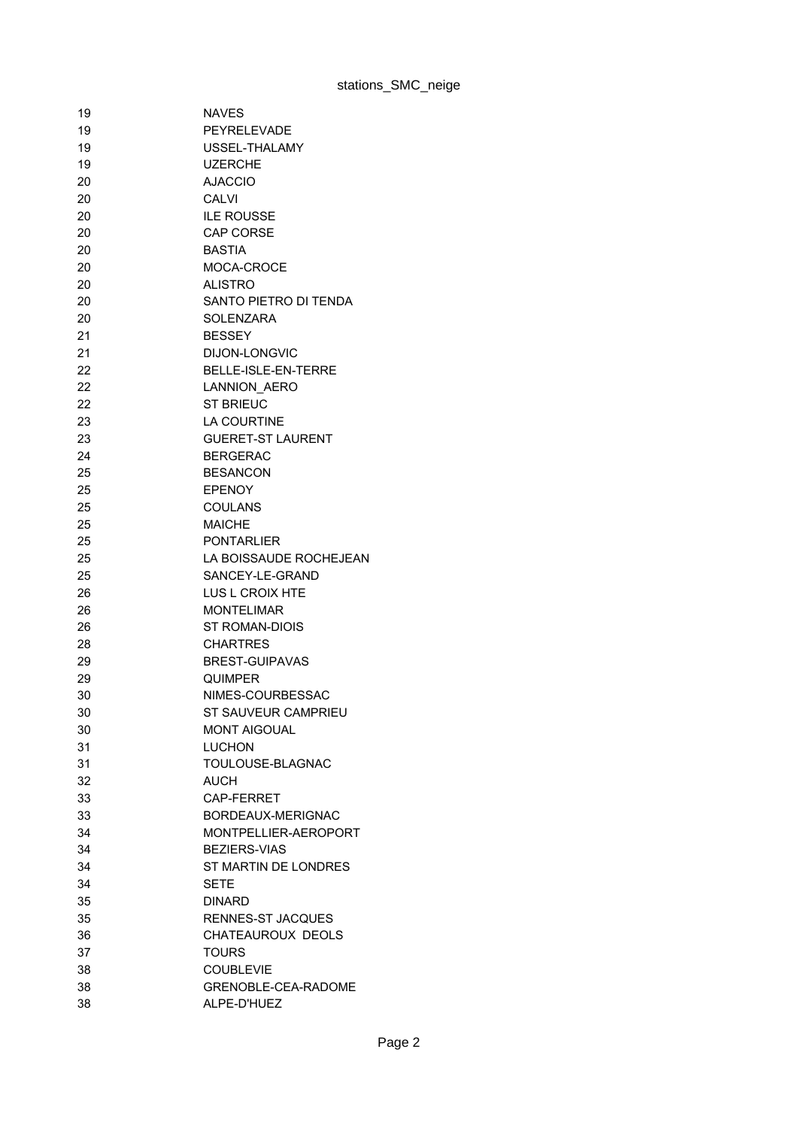| 19 | <b>NAVES</b>               |
|----|----------------------------|
| 19 | PEYRELEVADE                |
| 19 | USSEL-THALAMY              |
| 19 | <b>UZERCHE</b>             |
| 20 | <b>AJACCIO</b>             |
| 20 | <b>CALVI</b>               |
| 20 | <b>ILE ROUSSE</b>          |
| 20 | CAP CORSE                  |
| 20 | <b>BASTIA</b>              |
| 20 | MOCA-CROCE                 |
| 20 | <b>ALISTRO</b>             |
| 20 | SANTO PIETRO DI TENDA      |
| 20 | <b>SOLENZARA</b>           |
| 21 | <b>BESSEY</b>              |
|    |                            |
| 21 | <b>DIJON-LONGVIC</b>       |
| 22 | <b>BELLE-ISLE-EN-TERRE</b> |
| 22 | <b>LANNION AERO</b>        |
| 22 | <b>ST BRIEUC</b>           |
| 23 | <b>LA COURTINE</b>         |
| 23 | <b>GUERET-ST LAURENT</b>   |
| 24 | <b>BERGERAC</b>            |
| 25 | <b>BESANCON</b>            |
| 25 | <b>EPENOY</b>              |
| 25 | <b>COULANS</b>             |
| 25 | <b>MAICHE</b>              |
| 25 | <b>PONTARLIER</b>          |
| 25 | LA BOISSAUDE ROCHEJEAN     |
| 25 | SANCEY-LE-GRAND            |
| 26 | LUS L CROIX HTE            |
| 26 | <b>MONTELIMAR</b>          |
| 26 | <b>ST ROMAN-DIOIS</b>      |
| 28 | <b>CHARTRES</b>            |
| 29 | <b>BREST-GUIPAVAS</b>      |
| 29 | QUIMPER                    |
| 30 | NIMES-COURBESSAC           |
| 30 | ST SAUVEUR CAMPRIEU        |
| 30 | <b>MONT AIGOUAL</b>        |
| 31 | <b>LUCHON</b>              |
| 31 | TOULOUSE-BLAGNAC           |
| 32 | <b>AUCH</b>                |
| 33 | CAP-FERRET                 |
| 33 | BORDEAUX-MERIGNAC          |
|    |                            |
| 34 | MONTPELLIER-AEROPORT       |
| 34 | <b>BEZIERS-VIAS</b>        |
| 34 | ST MARTIN DE LONDRES       |
| 34 | SETE                       |
| 35 | <b>DINARD</b>              |
| 35 | RENNES-ST JACQUES          |
| 36 | <b>CHATEAUROUX DEOLS</b>   |
| 37 | <b>TOURS</b>               |
| 38 | <b>COUBLEVIE</b>           |
| 38 | GRENOBLE-CEA-RADOME        |
| 38 | ALPE-D'HUEZ                |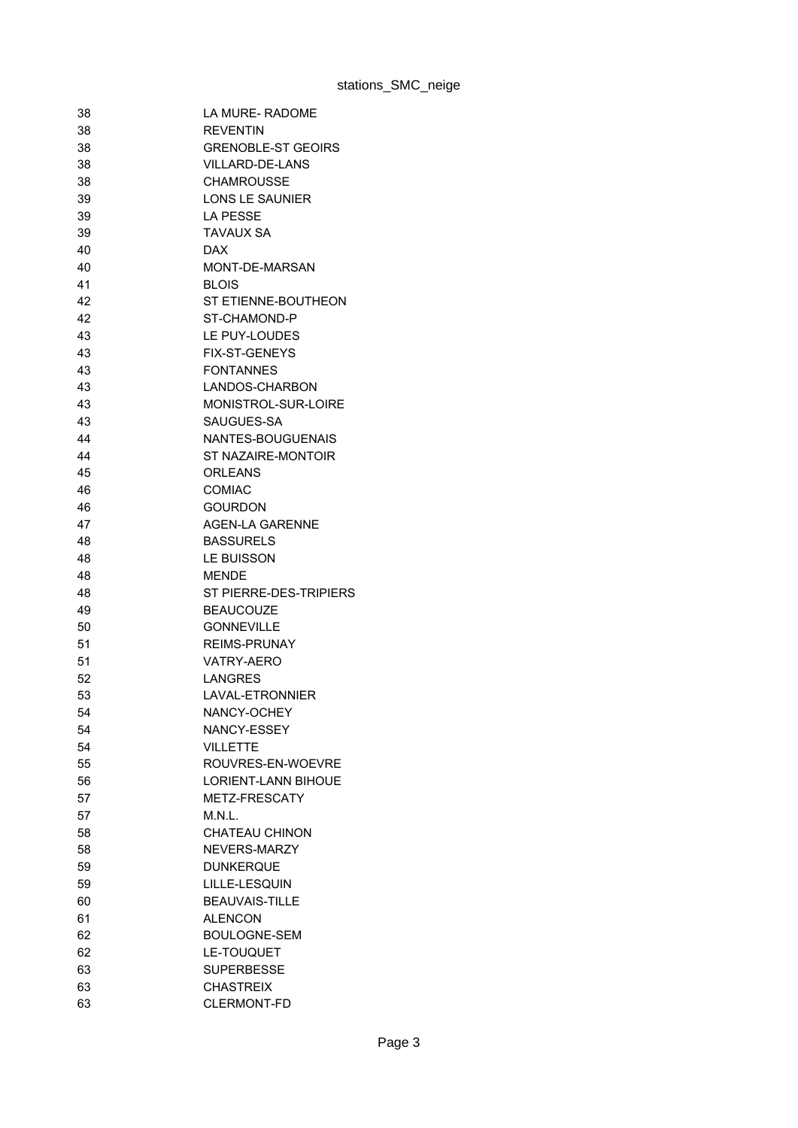| 38 | LA MURE- RADOME            |
|----|----------------------------|
| 38 | <b>REVENTIN</b>            |
| 38 | <b>GRENOBLE-ST GEOIRS</b>  |
| 38 | <b>VILLARD-DE-LANS</b>     |
| 38 | <b>CHAMROUSSE</b>          |
| 39 | <b>LONS LE SAUNIER</b>     |
| 39 | LA PESSE                   |
| 39 | TAVAUX SA                  |
| 40 | <b>DAX</b>                 |
| 40 | MONT-DE-MARSAN             |
| 41 | <b>BLOIS</b>               |
| 42 | ST ETIENNE-BOUTHEON        |
| 42 | ST-CHAMOND-P               |
| 43 | LE PUY-LOUDES              |
| 43 | <b>FIX-ST-GENEYS</b>       |
| 43 | <b>FONTANNES</b>           |
| 43 | LANDOS-CHARBON             |
| 43 | MONISTROL-SUR-LOIRE        |
| 43 | SAUGUES-SA                 |
| 44 | NANTES-BOUGUENAIS          |
| 44 | ST NAZAIRE-MONTOIR         |
| 45 | <b>ORLEANS</b>             |
| 46 | COMIAC                     |
| 46 | <b>GOURDON</b>             |
| 47 | <b>AGEN-LA GARENNE</b>     |
| 48 | <b>BASSURELS</b>           |
| 48 | LE BUISSON                 |
| 48 | <b>MENDE</b>               |
| 48 | ST PIERRE-DES-TRIPIERS     |
| 49 | <b>BEAUCOUZE</b>           |
| 50 | <b>GONNEVILLE</b>          |
| 51 | <b>REIMS-PRUNAY</b>        |
| 51 | VATRY-AERO                 |
| 52 | LANGRES                    |
| 53 | <b>LAVAL-ETRONNIER</b>     |
| 54 | NANCY-OCHEY                |
| 54 | NANCY-ESSEY                |
| 54 | <b>VILLETTE</b>            |
| 55 | ROUVRES-EN-WOEVRE          |
| 56 | <b>LORIENT-LANN BIHOUE</b> |
|    | METZ-FRESCATY              |
| 57 | M.N.L.                     |
| 57 | <b>CHATEAU CHINON</b>      |
| 58 |                            |
| 58 | NEVERS-MARZY               |
| 59 | <b>DUNKERQUE</b>           |
| 59 | LILLE-LESQUIN              |
| 60 | <b>BEAUVAIS-TILLE</b>      |
| 61 | <b>ALENCON</b>             |
| 62 | <b>BOULOGNE-SEM</b>        |
| 62 | LE-TOUQUET                 |
| 63 | <b>SUPERBESSE</b>          |
| 63 | <b>CHASTREIX</b>           |
| 63 | <b>CLERMONT-FD</b>         |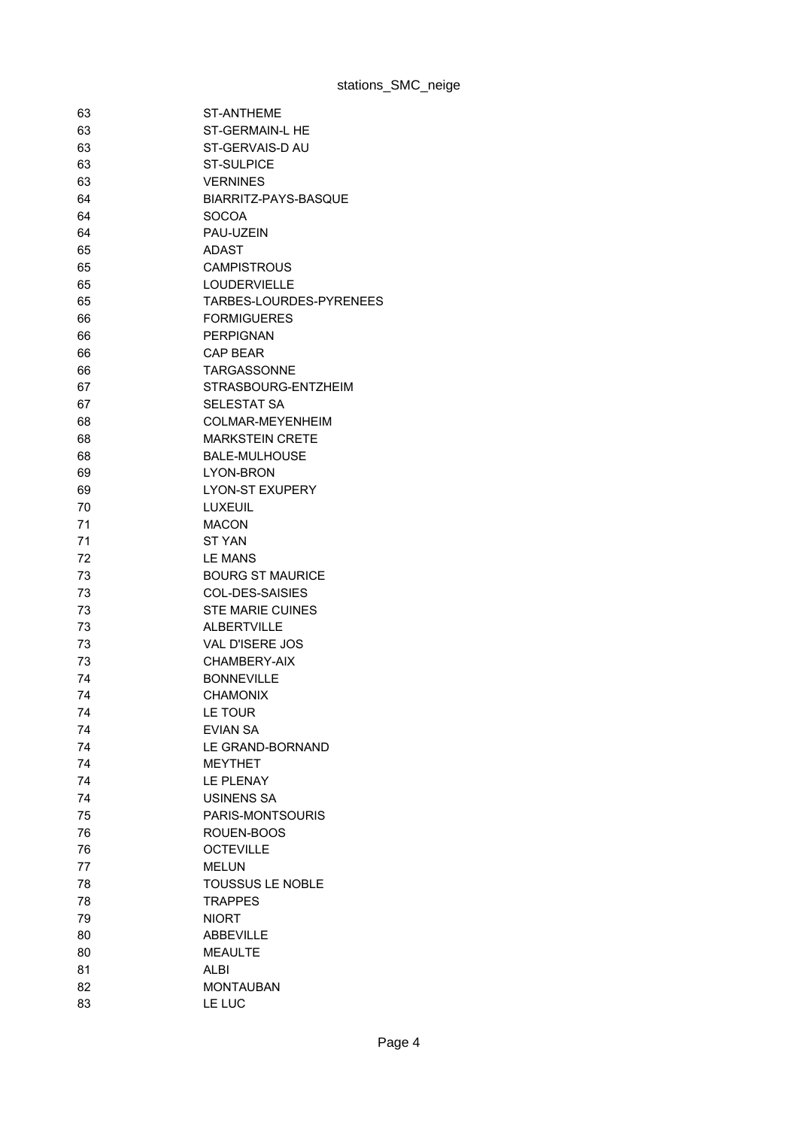| 63 | ST-ANTHEME              |
|----|-------------------------|
| 63 | ST-GERMAIN-L HE         |
| 63 | ST-GERVAIS-D AU         |
| 63 | <b>ST-SULPICE</b>       |
| 63 | <b>VERNINES</b>         |
| 64 | BIARRITZ-PAYS-BASQUE    |
| 64 | <b>SOCOA</b>            |
| 64 | PAU-UZEIN               |
| 65 | ADAST                   |
| 65 | <b>CAMPISTROUS</b>      |
| 65 | <b>LOUDERVIELLE</b>     |
| 65 | TARBES-LOURDES-PYRENEES |
| 66 | <b>FORMIGUERES</b>      |
| 66 | <b>PERPIGNAN</b>        |
| 66 | <b>CAP BEAR</b>         |
| 66 | TARGASSONNF             |
|    | STRASBOURG-ENTZHEIM     |
| 67 |                         |
| 67 | <b>SELESTAT SA</b>      |
| 68 | COLMAR-MEYENHEIM        |
| 68 | <b>MARKSTEIN CRETE</b>  |
| 68 | <b>BALE-MULHOUSE</b>    |
| 69 | LYON-BRON               |
| 69 | <b>LYON-ST EXUPERY</b>  |
| 70 | LUXEUIL                 |
| 71 | <b>MACON</b>            |
| 71 | <b>ST YAN</b>           |
| 72 | <b>LE MANS</b>          |
| 73 | <b>BOURG ST MAURICE</b> |
| 73 | <b>COL-DES-SAISIES</b>  |
| 73 | <b>STE MARIE CUINES</b> |
| 73 | <b>ALBERTVILLE</b>      |
| 73 | <b>VAL D'ISERE JOS</b>  |
| 73 | CHAMBERY-AIX            |
| 74 | <b>BONNEVILLE</b>       |
| 74 | <b>CHAMONIX</b>         |
| 74 | LE TOUR                 |
| 74 | <b>EVIAN SA</b>         |
| 74 | LE GRAND-BORNAND        |
| 74 | <b>MEYTHET</b>          |
| 74 | LE PLENAY               |
| 74 | <b>USINENS SA</b>       |
| 75 | PARIS-MONTSOURIS        |
| 76 | ROUEN-BOOS              |
| 76 | <b>OCTEVILLE</b>        |
| 77 | <b>MELUN</b>            |
| 78 | <b>TOUSSUS LE NOBLE</b> |
| 78 | <b>TRAPPES</b>          |
| 79 | <b>NIORT</b>            |
| 80 | <b>ABBEVILLE</b>        |
| 80 | <b>MEAULTE</b>          |
| 81 | ALBI                    |
|    |                         |
| 82 | <b>MONTAUBAN</b>        |
| 83 | LE LUC                  |